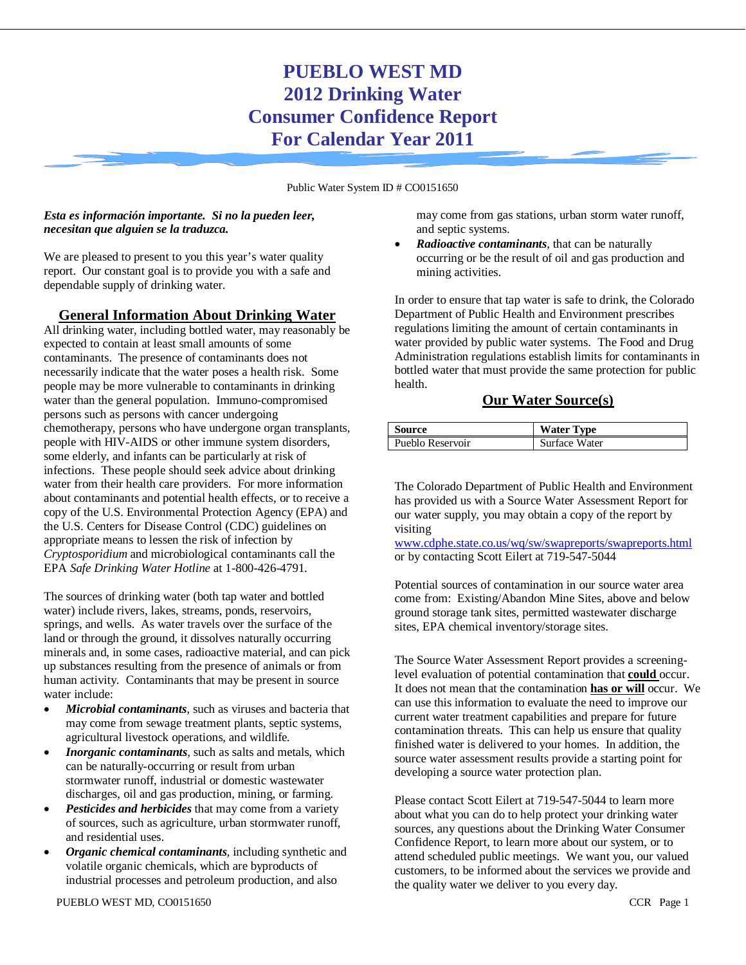# **PUEBLO WEST MD 2012 Drinking Water Consumer Confidence Report For Calendar Year 2011**

Public Water System ID # CO0151650

#### *Esta es información importante. Si no la pueden leer, necesitan que alguien se la traduzca.*

We are pleased to present to you this year's water quality report. Our constant goal is to provide you with a safe and dependable supply of drinking water.

### **General Information About Drinking Water**

All drinking water, including bottled water, may reasonably be expected to contain at least small amounts of some contaminants. The presence of contaminants does not necessarily indicate that the water poses a health risk. Some people may be more vulnerable to contaminants in drinking water than the general population. Immuno-compromised persons such as persons with cancer undergoing chemotherapy, persons who have undergone organ transplants, people with HIV-AIDS or other immune system disorders, some elderly, and infants can be particularly at risk of infections. These people should seek advice about drinking water from their health care providers. For more information about contaminants and potential health effects, or to receive a copy of the U.S. Environmental Protection Agency (EPA) and the U.S. Centers for Disease Control (CDC) guidelines on appropriate means to lessen the risk of infection by *Cryptosporidium* and microbiological contaminants call the EPA *Safe Drinking Water Hotline* at 1-800-426-4791.

The sources of drinking water (both tap water and bottled water) include rivers, lakes, streams, ponds, reservoirs, springs, and wells. As water travels over the surface of the land or through the ground, it dissolves naturally occurring minerals and, in some cases, radioactive material, and can pick up substances resulting from the presence of animals or from human activity. Contaminants that may be present in source water include:

- *Microbial contaminants,* such as viruses and bacteria that may come from sewage treatment plants, septic systems, agricultural livestock operations, and wildlife*.*
- *Inorganic contaminants*, such as salts and metals, which can be naturally-occurring or result from urban stormwater runoff, industrial or domestic wastewater discharges, oil and gas production, mining, or farming.
- **Pesticides and herbicides** that may come from a variety of sources, such as agriculture, urban stormwater runoff, and residential uses.
- *Organic chemical contaminants,* including synthetic and volatile organic chemicals, which are byproducts of industrial processes and petroleum production, and also

may come from gas stations, urban storm water runoff, and septic systems.

• *Radioactive contaminants,* that can be naturally occurring or be the result of oil and gas production and mining activities.

In order to ensure that tap water is safe to drink, the Colorado Department of Public Health and Environment prescribes regulations limiting the amount of certain contaminants in water provided by public water systems. The Food and Drug Administration regulations establish limits for contaminants in bottled water that must provide the same protection for public health.

### **Our Water Source(s)**

| Source           | <b>Water Type</b> |
|------------------|-------------------|
| Pueblo Reservoir | Surface Water     |

The Colorado Department of Public Health and Environment has provided us with a Source Water Assessment Report for our water supply, you may obtain a copy of the report by visiting

[www.cdphe.state.co.us/wq/sw/swapreports/swapreports.html](http://www.cdphe.state.co.us/wq/sw/swapreports/swapreports.html) or by contacting Scott Eilert at 719-547-5044

Potential sources of contamination in our source water area come from: Existing/Abandon Mine Sites, above and below ground storage tank sites, permitted wastewater discharge sites, EPA chemical inventory/storage sites.

The Source Water Assessment Report provides a screeninglevel evaluation of potential contamination that **could** occur. It does not mean that the contamination **has or will** occur. We can use this information to evaluate the need to improve our current water treatment capabilities and prepare for future contamination threats. This can help us ensure that quality finished water is delivered to your homes. In addition, the source water assessment results provide a starting point for developing a source water protection plan.

Please contact Scott Eilert at 719-547-5044 to learn more about what you can do to help protect your drinking water sources, any questions about the Drinking Water Consumer Confidence Report, to learn more about our system, or to attend scheduled public meetings. We want you, our valued customers, to be informed about the services we provide and the quality water we deliver to you every day.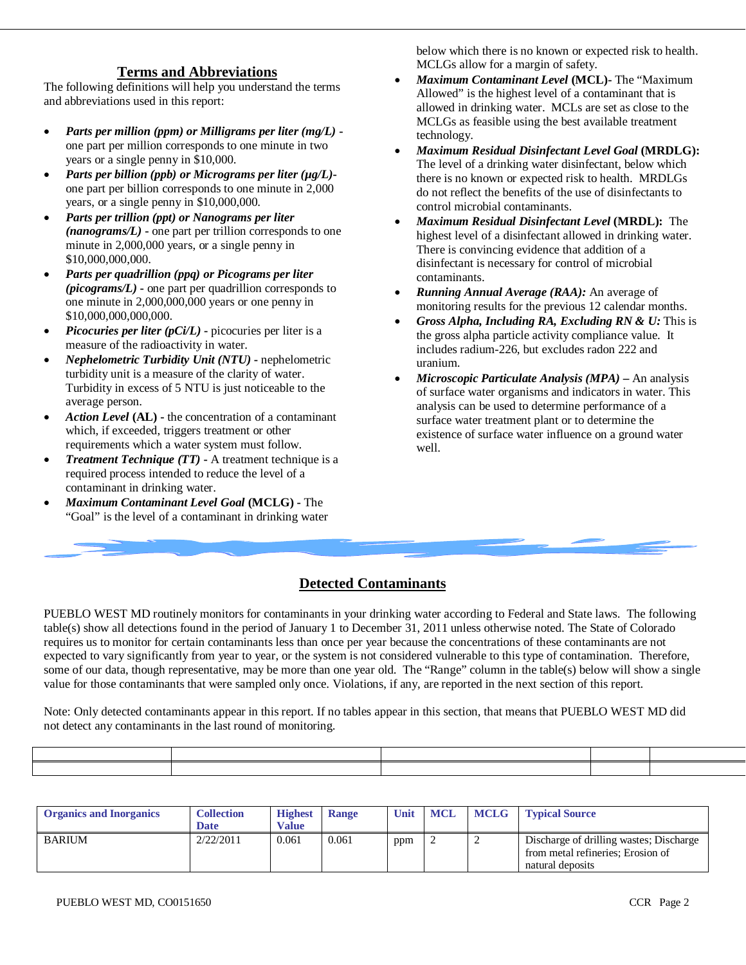### **Terms and Abbreviations**

The following definitions will help you understand the terms and abbreviations used in this report:

- *Parts per million (ppm) or Milligrams per liter (mg/L)*  one part per million corresponds to one minute in two years or a single penny in \$10,000.
- *Parts per billion (ppb) or Micrograms per liter (µg/L)* one part per billion corresponds to one minute in 2,000 years, or a single penny in \$10,000,000.
- *Parts per trillion (ppt) or Nanograms per liter (nanograms/L)* **-** one part per trillion corresponds to one minute in 2,000,000 years, or a single penny in \$10,000,000,000.
- *Parts per quadrillion (ppq) or Picograms per liter (picograms/L)* **-** one part per quadrillion corresponds to one minute in 2,000,000,000 years or one penny in \$10,000,000,000,000.
- *Picocuries per liter (pCi/L)* **-** picocuries per liter is a measure of the radioactivity in water.
- *Nephelometric Turbidity Unit (NTU)* **-** nephelometric turbidity unit is a measure of the clarity of water. Turbidity in excess of 5 NTU is just noticeable to the average person.
- *Action Level* **(AL) -** the concentration of a contaminant which, if exceeded, triggers treatment or other requirements which a water system must follow.
- *Treatment Technique (TT)* **-** A treatment technique is a required process intended to reduce the level of a contaminant in drinking water.
- *Maximum Contaminant Level Goal* **(MCLG) -** The "Goal" is the level of a contaminant in drinking water

below which there is no known or expected risk to health. MCLGs allow for a margin of safety.

- *Maximum Contaminant Level* **(MCL)-** The "Maximum Allowed" is the highest level of a contaminant that is allowed in drinking water. MCLs are set as close to the MCLGs as feasible using the best available treatment technology.
- *Maximum Residual Disinfectant Level Goal* **(MRDLG):** The level of a drinking water disinfectant, below which there is no known or expected risk to health. MRDLGs do not reflect the benefits of the use of disinfectants to control microbial contaminants.
- *Maximum Residual Disinfectant Level* **(MRDL):** The highest level of a disinfectant allowed in drinking water. There is convincing evidence that addition of a disinfectant is necessary for control of microbial contaminants.
- *Running Annual Average (RAA):* An average of monitoring results for the previous 12 calendar months.
- *Gross Alpha, Including RA, Excluding RN & U:* This is the gross alpha particle activity compliance value. It includes radium-226, but excludes radon 222 and uranium.
- *Microscopic Particulate Analysis (MPA) –* An analysis of surface water organisms and indicators in water. This analysis can be used to determine performance of a surface water treatment plant or to determine the existence of surface water influence on a ground water well.

## **Detected Contaminants**

PUEBLO WEST MD routinely monitors for contaminants in your drinking water according to Federal and State laws. The following table(s) show all detections found in the period of January 1 to December 31, 2011 unless otherwise noted. The State of Colorado requires us to monitor for certain contaminants less than once per year because the concentrations of these contaminants are not expected to vary significantly from year to year, or the system is not considered vulnerable to this type of contamination. Therefore, some of our data, though representative, may be more than one year old. The "Range" column in the table(s) below will show a single value for those contaminants that were sampled only once. Violations, if any, are reported in the next section of this report.

Note: Only detected contaminants appear in this report. If no tables appear in this section, that means that PUEBLO WEST MD did not detect any contaminants in the last round of monitoring.

| <b>Organics and Inorganics</b> | <b>Collection</b><br><b>Date</b> | <b>Highest</b><br><b>Value</b> | <b>Range</b> | Unit | <b>MCL</b> | <b>MCLG</b> | <b>Typical Source</b>                                                                            |
|--------------------------------|----------------------------------|--------------------------------|--------------|------|------------|-------------|--------------------------------------------------------------------------------------------------|
| <b>BARIUM</b>                  | 2/22/2011                        | 0.061                          | 0.061        | ppm  |            | ∼           | Discharge of drilling wastes; Discharge<br>from metal refineries; Erosion of<br>natural deposits |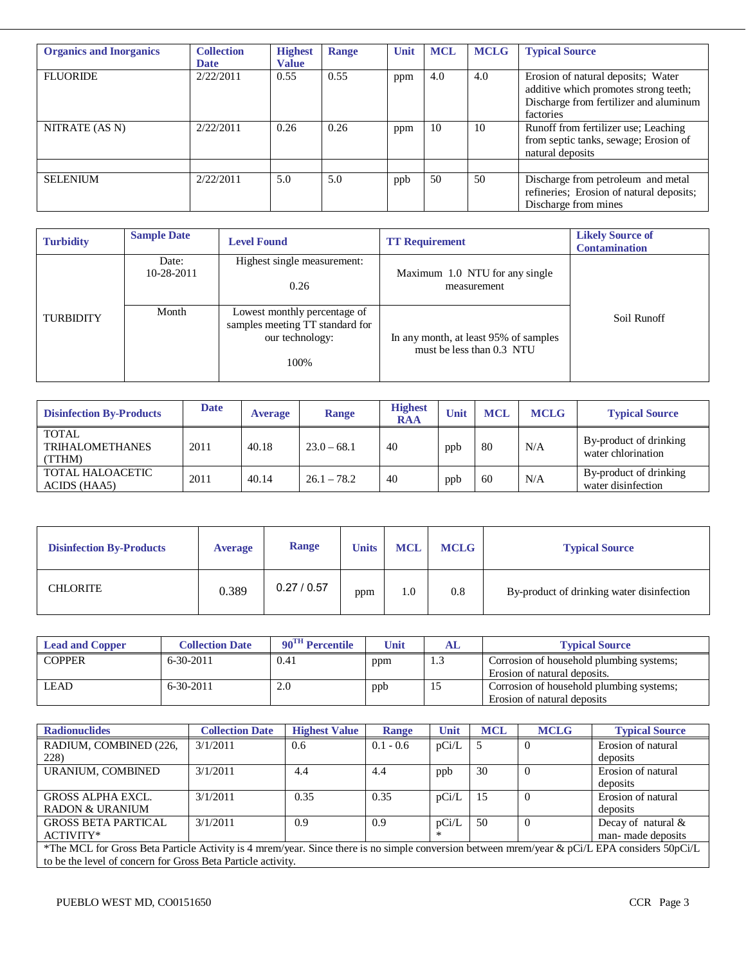| <b>Collection</b><br><b>Date</b> | <b>Highest</b><br><b>Value</b> | <b>Range</b> | Unit | <b>MCL</b> | <b>MCLG</b> | <b>Typical Source</b>                                                                                                              |
|----------------------------------|--------------------------------|--------------|------|------------|-------------|------------------------------------------------------------------------------------------------------------------------------------|
| 2/22/2011                        | 0.55                           | 0.55         | ppm  | 4.0        | 4.0         | Erosion of natural deposits; Water<br>additive which promotes strong teeth;<br>Discharge from fertilizer and aluminum<br>factories |
| 2/22/2011                        | 0.26                           | 0.26         | ppm  | 10         | 10          | Runoff from fertilizer use; Leaching<br>from septic tanks, sewage; Erosion of<br>natural deposits                                  |
| 2/22/2011                        | 5.0                            | 5.0          | ppb  | 50         | 50          | Discharge from petroleum and metal<br>refineries; Erosion of natural deposits;<br>Discharge from mines                             |
|                                  |                                |              |      |            |             |                                                                                                                                    |

| <b>Turbidity</b> | <b>Sample Date</b>  | <b>Level Found</b>                                                                         | <b>TT Requirement</b>                                              | <b>Likely Source of</b><br><b>Contamination</b> |
|------------------|---------------------|--------------------------------------------------------------------------------------------|--------------------------------------------------------------------|-------------------------------------------------|
|                  | Date:<br>10-28-2011 | Highest single measurement:<br>0.26                                                        | Maximum 1.0 NTU for any single<br>measurement                      |                                                 |
| <b>TURBIDITY</b> | Month               | Lowest monthly percentage of<br>samples meeting TT standard for<br>our technology:<br>100% | In any month, at least 95% of samples<br>must be less than 0.3 NTU | Soil Runoff                                     |

| <b>Disinfection By-Products</b>                  | Date | <b>Average</b> | <b>Range</b>  | <b>Highest</b><br><b>RAA</b> | Unit | <b>MCL</b> | <b>MCLG</b> | <b>Typical Source</b>                        |
|--------------------------------------------------|------|----------------|---------------|------------------------------|------|------------|-------------|----------------------------------------------|
| <b>TOTAL</b><br><b>TRIHALOMETHANES</b><br>(TTHM) | 2011 | 40.18          | $23.0 - 68.1$ | 40                           | ppb  | 80         | N/A         | By-product of drinking<br>water chlorination |
| <b>TOTAL HALOACETIC</b><br>ACIDS (HAA5)          | 2011 | 40.14          | $26.1 - 78.2$ | 40                           | ppb  | 60         | N/A         | By-product of drinking<br>water disinfection |

| <b>Disinfection By-Products</b> | <b>Average</b> | Range       | <b>Units</b> | <b>MCL</b> | <b>MCLG</b> | <b>Typical Source</b>                     |
|---------------------------------|----------------|-------------|--------------|------------|-------------|-------------------------------------------|
| CHLORITE                        | 0.389          | 0.27 / 0.57 | ppm          | 1.0        | 0.8         | By-product of drinking water disinfection |

| <b>Lead and Copper</b> | <b>Collection Date</b> | $90^{\text{TH}}$ Percentile | Unit | AL    | <b>Typical Source</b>                    |
|------------------------|------------------------|-----------------------------|------|-------|------------------------------------------|
| <b>COPPER</b>          | $6-30-2011$            | 0.41                        | ppm  | ل . 1 | Corrosion of household plumbing systems; |
|                        |                        |                             |      |       | Erosion of natural deposits.             |
| LEAD                   | $6-30-2011$            | 2.0                         | ppb  | 12    | Corrosion of household plumbing systems; |
|                        |                        |                             |      |       | Erosion of natural deposits              |

| <b>Radionuclides</b>                                                                                                                          | <b>Collection Date</b> | <b>Highest Value</b> | <b>Range</b> | Unit  | <b>MCL</b> | <b>MCLG</b> | <b>Typical Source</b> |
|-----------------------------------------------------------------------------------------------------------------------------------------------|------------------------|----------------------|--------------|-------|------------|-------------|-----------------------|
| RADIUM, COMBINED (226,                                                                                                                        | 3/1/2011               | 0.6                  | $0.1 - 0.6$  | pCi/L |            |             | Erosion of natural    |
| 228)                                                                                                                                          |                        |                      |              |       |            |             | deposits              |
| URANIUM. COMBINED                                                                                                                             | 3/1/2011               | 4.4                  | 4.4          | ppb   | 30         | $\Omega$    | Erosion of natural    |
|                                                                                                                                               |                        |                      |              |       |            |             | deposits              |
| <b>GROSS ALPHA EXCL.</b>                                                                                                                      | 3/1/2011               | 0.35                 | 0.35         | pCi/L | 15         | $\Omega$    | Erosion of natural    |
| RADON & URANIUM                                                                                                                               |                        |                      |              |       |            |             | deposits              |
| <b>GROSS BETA PARTICAL</b>                                                                                                                    | 3/1/2011               | 0.9                  | 0.9          | pCi/L | 50         | $\theta$    | Decay of natural $\&$ |
| ACTIVITY*                                                                                                                                     |                        |                      |              |       |            |             | man- made deposits    |
| *The MCL for Gross Beta Particle Activity is 4 mrem/year. Since there is no simple conversion between mrem/year & pCi/L EPA considers 50pCi/L |                        |                      |              |       |            |             |                       |
| to be the level of concern for Gross Beta Particle activity.                                                                                  |                        |                      |              |       |            |             |                       |